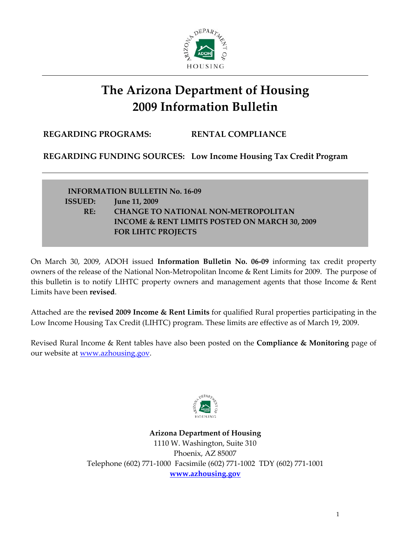

## **The Arizona Department of Housing 2009 Information Bulletin**

**REGARDING PROGRAMS: RENTAL COMPLIANCE**

**REGARDING FUNDING SOURCES: Low Income Housing Tax Credit Program**

**INFORMATION BULLETIN No. 16‐09 ISSUED: June 11, 2009 RE: CHANGE TO NATIONAL NON‐METROPOLITAN INCOME & RENT LIMITS POSTED ON MARCH 30, 2009 FOR LIHTC PROJECTS** 

On March 30, 2009, ADOH issued **Information Bulletin No. 06‐09** informing tax credit property owners of the release of the National Non‐Metropolitan Income & Rent Limits for 2009. The purpose of this bulletin is to notify LIHTC property owners and management agents that those Income & Rent Limits have been **revised**.

Attached are the **revised 2009 Income & Rent Limits** for qualified Rural properties participating in the Low Income Housing Tax Credit (LIHTC) program. These limits are effective as of March 19, 2009.

Revised Rural Income & Rent tables have also been posted on the **Compliance & Monitoring** page of our website at <u>www.azhousing.gov</u>.



**Arizona Department of Housing** 1110 W. Washington, Suite 310 Phoenix, AZ 85007 Telephone (602) 771‐1000 Facsimile (602) 771‐1002 TDY (602) 771‐1001 **www.azhousing.gov**